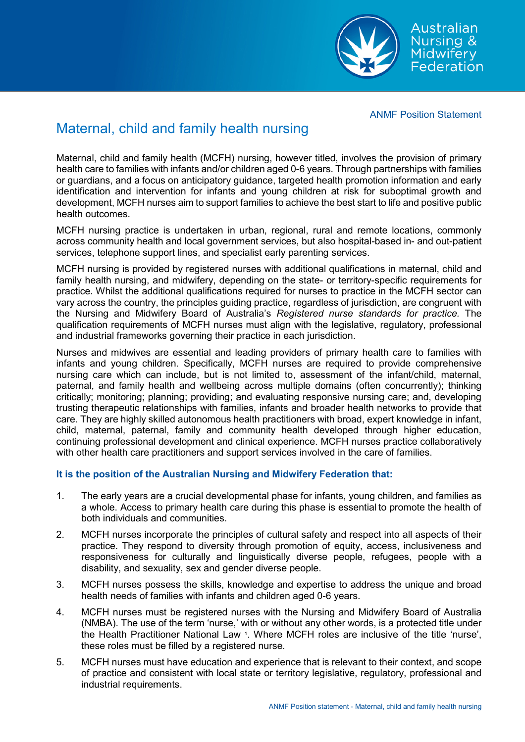ANMF Position Statement

## Maternal, child and family health nursing

Maternal, child and family health (MCFH) nursing, however titled, involves the provision of primary health care to families with infants and/or children aged 0-6 years. Through partnerships with families or guardians, and a focus on anticipatory guidance, targeted health promotion information and early identification and intervention for infants and young children at risk for suboptimal growth and development, MCFH nurses aim to support families to achieve the best start to life and positive public health outcomes.

MCFH nursing practice is undertaken in urban, regional, rural and remote locations, commonly across community health and local government services, but also hospital-based in- and out-patient services, telephone support lines, and specialist early parenting services.

MCFH nursing is provided by registered nurses with additional qualifications in maternal, child and family health nursing, and midwifery, depending on the state- or territory-specific requirements for practice. Whilst the additional qualifications required for nurses to practice in the MCFH sector can vary across the country, the principles guiding practice, regardless of jurisdiction, are congruent with the Nursing and Midwifery Board of Australia's *Registered nurse standards for practice.* The qualification requirements of MCFH nurses must align with the legislative, regulatory, professional and industrial frameworks governing their practice in each jurisdiction.

Nurses and midwives are essential and leading providers of primary health care to families with infants and young children. Specifically, MCFH nurses are required to provide comprehensive nursing care which can include, but is not limited to, assessment of the infant/child, maternal, paternal, and family health and wellbeing across multiple domains (often concurrently); thinking critically; monitoring; planning; providing; and evaluating responsive nursing care; and, developing trusting therapeutic relationships with families, infants and broader health networks to provide that care. They are highly skilled autonomous health practitioners with broad, expert knowledge in infant, child, maternal, paternal, family and community health developed through higher education, continuing professional development and clinical experience. MCFH nurses practice collaboratively with other health care practitioners and support services involved in the care of families.

## **It is the position of the Australian Nursing and Midwifery Federation that:**

- 1. The early years are a crucial developmental phase for infants, young children, and families as a whole. Access to primary health care during this phase is essential to promote the health of both individuals and communities.
- 2. MCFH nurses incorporate the principles of cultural safety and respect into all aspects of their practice. They respond to diversity through promotion of equity, access, inclusiveness and responsiveness for culturally and linguistically diverse people, refugees, people with a disability, and sexuality, sex and gender diverse people.
- 3. MCFH nurses possess the skills, knowledge and expertise to address the unique and broad health needs of families with infants and children aged 0-6 years.
- 4. MCFH nurses must be registered nurses with the Nursing and Midwifery Board of Australia (NMBA). The use of the term 'nurse,' with or without any other words, is a protected title under the Health Practitioner National Law 1. Where MCFH roles are inclusive of the title 'nurse', these roles must be filled by a registered nurse.
- 5. MCFH nurses must have education and experience that is relevant to their context, and scope of practice and consistent with local state or territory legislative, regulatory, professional and industrial requirements.